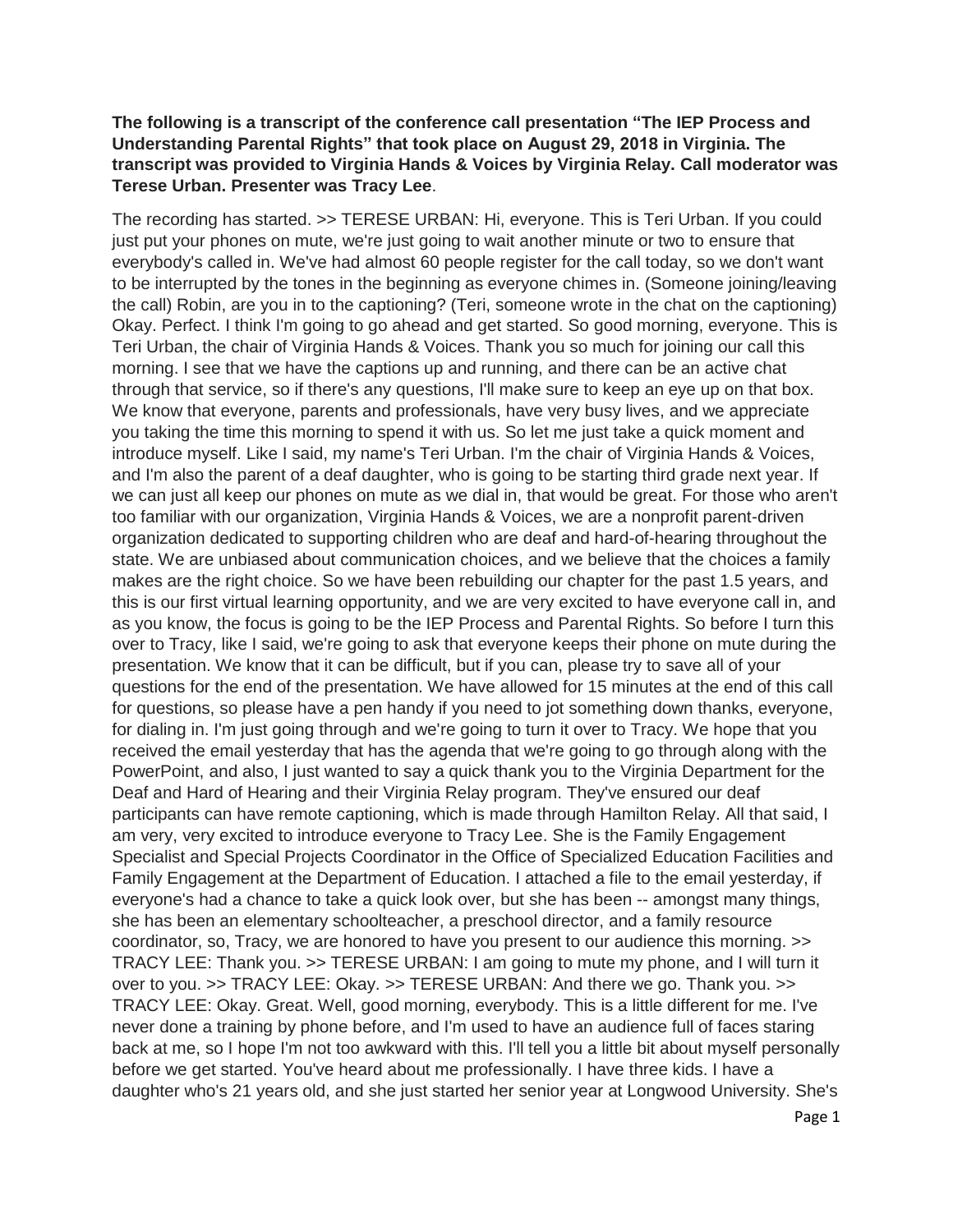## **The following is a transcript of the conference call presentation "The IEP Process and Understanding Parental Rights" that took place on August 29, 2018 in Virginia. The transcript was provided to Virginia Hands & Voices by Virginia Relay. Call moderator was Terese Urban. Presenter was Tracy Lee**.

The recording has started. >> TERESE URBAN: Hi, everyone. This is Teri Urban. If you could just put your phones on mute, we're just going to wait another minute or two to ensure that everybody's called in. We've had almost 60 people register for the call today, so we don't want to be interrupted by the tones in the beginning as everyone chimes in. (Someone joining/leaving the call) Robin, are you in to the captioning? (Teri, someone wrote in the chat on the captioning) Okay. Perfect. I think I'm going to go ahead and get started. So good morning, everyone. This is Teri Urban, the chair of Virginia Hands & Voices. Thank you so much for joining our call this morning. I see that we have the captions up and running, and there can be an active chat through that service, so if there's any questions, I'll make sure to keep an eye up on that box. We know that everyone, parents and professionals, have very busy lives, and we appreciate you taking the time this morning to spend it with us. So let me just take a quick moment and introduce myself. Like I said, my name's Teri Urban. I'm the chair of Virginia Hands & Voices, and I'm also the parent of a deaf daughter, who is going to be starting third grade next year. If we can just all keep our phones on mute as we dial in, that would be great. For those who aren't too familiar with our organization, Virginia Hands & Voices, we are a nonprofit parent-driven organization dedicated to supporting children who are deaf and hard-of-hearing throughout the state. We are unbiased about communication choices, and we believe that the choices a family makes are the right choice. So we have been rebuilding our chapter for the past 1.5 years, and this is our first virtual learning opportunity, and we are very excited to have everyone call in, and as you know, the focus is going to be the IEP Process and Parental Rights. So before I turn this over to Tracy, like I said, we're going to ask that everyone keeps their phone on mute during the presentation. We know that it can be difficult, but if you can, please try to save all of your questions for the end of the presentation. We have allowed for 15 minutes at the end of this call for questions, so please have a pen handy if you need to jot something down thanks, everyone, for dialing in. I'm just going through and we're going to turn it over to Tracy. We hope that you received the email yesterday that has the agenda that we're going to go through along with the PowerPoint, and also, I just wanted to say a quick thank you to the Virginia Department for the Deaf and Hard of Hearing and their Virginia Relay program. They've ensured our deaf participants can have remote captioning, which is made through Hamilton Relay. All that said, I am very, very excited to introduce everyone to Tracy Lee. She is the Family Engagement Specialist and Special Projects Coordinator in the Office of Specialized Education Facilities and Family Engagement at the Department of Education. I attached a file to the email yesterday, if everyone's had a chance to take a quick look over, but she has been -- amongst many things, she has been an elementary schoolteacher, a preschool director, and a family resource coordinator, so, Tracy, we are honored to have you present to our audience this morning. >> TRACY LEE: Thank you. >> TERESE URBAN: I am going to mute my phone, and I will turn it over to you. >> TRACY LEE: Okay. >> TERESE URBAN: And there we go. Thank you. >> TRACY LEE: Okay. Great. Well, good morning, everybody. This is a little different for me. I've never done a training by phone before, and I'm used to have an audience full of faces staring back at me, so I hope I'm not too awkward with this. I'll tell you a little bit about myself personally before we get started. You've heard about me professionally. I have three kids. I have a daughter who's 21 years old, and she just started her senior year at Longwood University. She's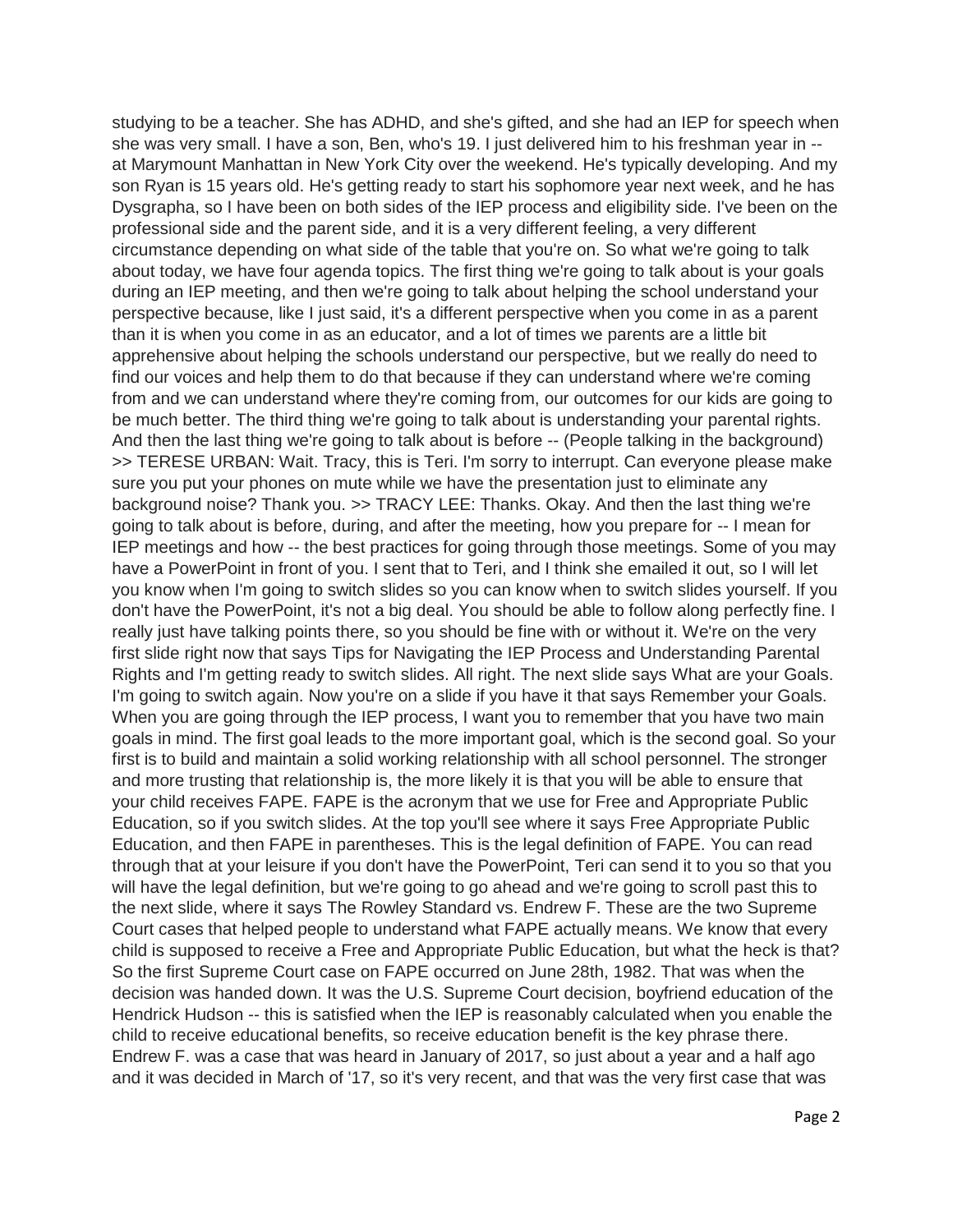studying to be a teacher. She has ADHD, and she's gifted, and she had an IEP for speech when she was very small. I have a son, Ben, who's 19. I just delivered him to his freshman year in - at Marymount Manhattan in New York City over the weekend. He's typically developing. And my son Ryan is 15 years old. He's getting ready to start his sophomore year next week, and he has Dysgrapha, so I have been on both sides of the IEP process and eligibility side. I've been on the professional side and the parent side, and it is a very different feeling, a very different circumstance depending on what side of the table that you're on. So what we're going to talk about today, we have four agenda topics. The first thing we're going to talk about is your goals during an IEP meeting, and then we're going to talk about helping the school understand your perspective because, like I just said, it's a different perspective when you come in as a parent than it is when you come in as an educator, and a lot of times we parents are a little bit apprehensive about helping the schools understand our perspective, but we really do need to find our voices and help them to do that because if they can understand where we're coming from and we can understand where they're coming from, our outcomes for our kids are going to be much better. The third thing we're going to talk about is understanding your parental rights. And then the last thing we're going to talk about is before -- (People talking in the background) >> TERESE URBAN: Wait. Tracy, this is Teri. I'm sorry to interrupt. Can everyone please make sure you put your phones on mute while we have the presentation just to eliminate any background noise? Thank you. >> TRACY LEE: Thanks. Okay. And then the last thing we're going to talk about is before, during, and after the meeting, how you prepare for -- I mean for IEP meetings and how -- the best practices for going through those meetings. Some of you may have a PowerPoint in front of you. I sent that to Teri, and I think she emailed it out, so I will let you know when I'm going to switch slides so you can know when to switch slides yourself. If you don't have the PowerPoint, it's not a big deal. You should be able to follow along perfectly fine. I really just have talking points there, so you should be fine with or without it. We're on the very first slide right now that says Tips for Navigating the IEP Process and Understanding Parental Rights and I'm getting ready to switch slides. All right. The next slide says What are your Goals. I'm going to switch again. Now you're on a slide if you have it that says Remember your Goals. When you are going through the IEP process, I want you to remember that you have two main goals in mind. The first goal leads to the more important goal, which is the second goal. So your first is to build and maintain a solid working relationship with all school personnel. The stronger and more trusting that relationship is, the more likely it is that you will be able to ensure that your child receives FAPE. FAPE is the acronym that we use for Free and Appropriate Public Education, so if you switch slides. At the top you'll see where it says Free Appropriate Public Education, and then FAPE in parentheses. This is the legal definition of FAPE. You can read through that at your leisure if you don't have the PowerPoint, Teri can send it to you so that you will have the legal definition, but we're going to go ahead and we're going to scroll past this to the next slide, where it says The Rowley Standard vs. Endrew F. These are the two Supreme Court cases that helped people to understand what FAPE actually means. We know that every child is supposed to receive a Free and Appropriate Public Education, but what the heck is that? So the first Supreme Court case on FAPE occurred on June 28th, 1982. That was when the decision was handed down. It was the U.S. Supreme Court decision, boyfriend education of the Hendrick Hudson -- this is satisfied when the IEP is reasonably calculated when you enable the child to receive educational benefits, so receive education benefit is the key phrase there. Endrew F. was a case that was heard in January of 2017, so just about a year and a half ago and it was decided in March of '17, so it's very recent, and that was the very first case that was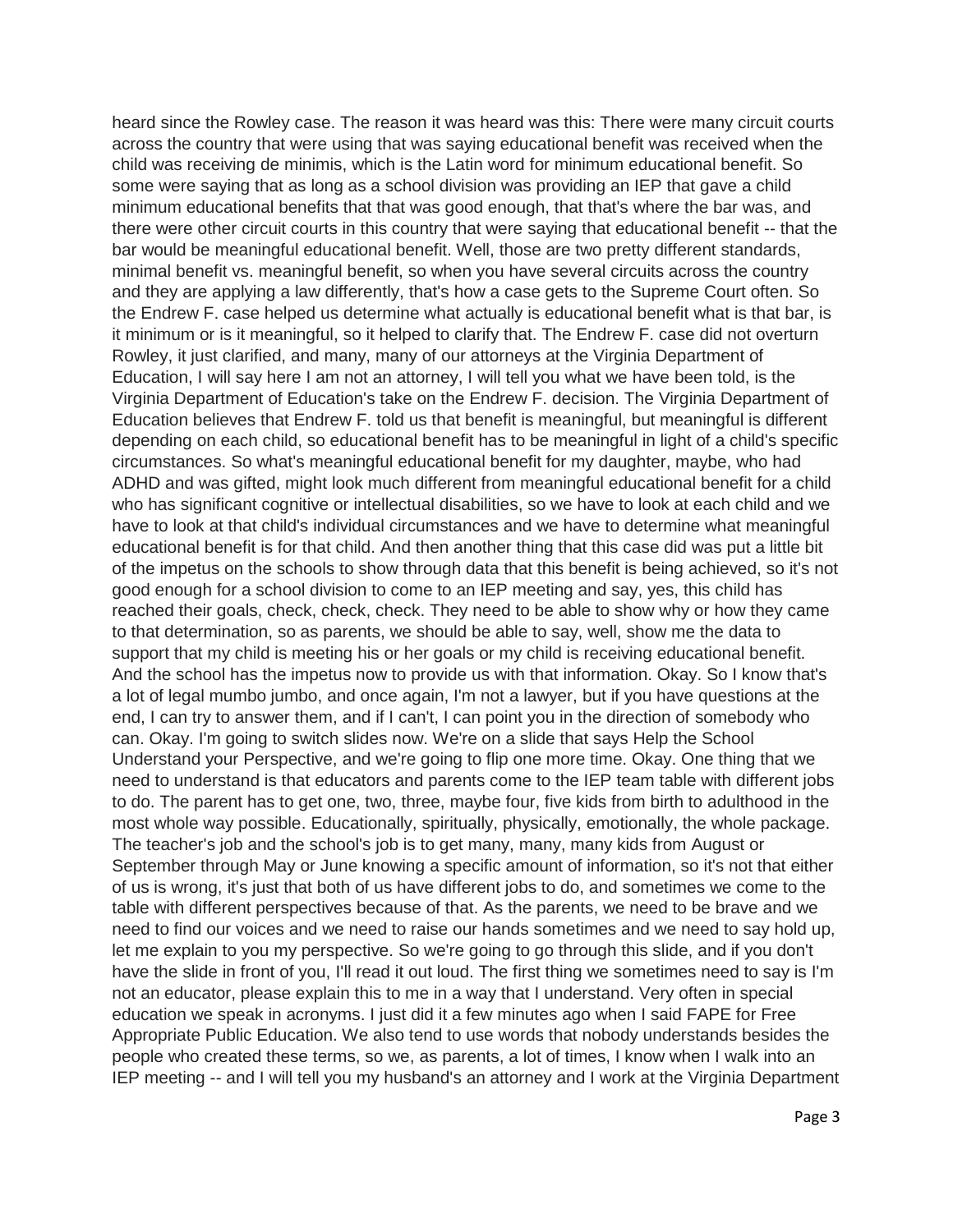heard since the Rowley case. The reason it was heard was this: There were many circuit courts across the country that were using that was saying educational benefit was received when the child was receiving de minimis, which is the Latin word for minimum educational benefit. So some were saying that as long as a school division was providing an IEP that gave a child minimum educational benefits that that was good enough, that that's where the bar was, and there were other circuit courts in this country that were saying that educational benefit -- that the bar would be meaningful educational benefit. Well, those are two pretty different standards, minimal benefit vs. meaningful benefit, so when you have several circuits across the country and they are applying a law differently, that's how a case gets to the Supreme Court often. So the Endrew F. case helped us determine what actually is educational benefit what is that bar, is it minimum or is it meaningful, so it helped to clarify that. The Endrew F. case did not overturn Rowley, it just clarified, and many, many of our attorneys at the Virginia Department of Education, I will say here I am not an attorney, I will tell you what we have been told, is the Virginia Department of Education's take on the Endrew F. decision. The Virginia Department of Education believes that Endrew F. told us that benefit is meaningful, but meaningful is different depending on each child, so educational benefit has to be meaningful in light of a child's specific circumstances. So what's meaningful educational benefit for my daughter, maybe, who had ADHD and was gifted, might look much different from meaningful educational benefit for a child who has significant cognitive or intellectual disabilities, so we have to look at each child and we have to look at that child's individual circumstances and we have to determine what meaningful educational benefit is for that child. And then another thing that this case did was put a little bit of the impetus on the schools to show through data that this benefit is being achieved, so it's not good enough for a school division to come to an IEP meeting and say, yes, this child has reached their goals, check, check, check. They need to be able to show why or how they came to that determination, so as parents, we should be able to say, well, show me the data to support that my child is meeting his or her goals or my child is receiving educational benefit. And the school has the impetus now to provide us with that information. Okay. So I know that's a lot of legal mumbo jumbo, and once again, I'm not a lawyer, but if you have questions at the end, I can try to answer them, and if I can't, I can point you in the direction of somebody who can. Okay. I'm going to switch slides now. We're on a slide that says Help the School Understand your Perspective, and we're going to flip one more time. Okay. One thing that we need to understand is that educators and parents come to the IEP team table with different jobs to do. The parent has to get one, two, three, maybe four, five kids from birth to adulthood in the most whole way possible. Educationally, spiritually, physically, emotionally, the whole package. The teacher's job and the school's job is to get many, many, many kids from August or September through May or June knowing a specific amount of information, so it's not that either of us is wrong, it's just that both of us have different jobs to do, and sometimes we come to the table with different perspectives because of that. As the parents, we need to be brave and we need to find our voices and we need to raise our hands sometimes and we need to say hold up, let me explain to you my perspective. So we're going to go through this slide, and if you don't have the slide in front of you, I'll read it out loud. The first thing we sometimes need to say is I'm not an educator, please explain this to me in a way that I understand. Very often in special education we speak in acronyms. I just did it a few minutes ago when I said FAPE for Free Appropriate Public Education. We also tend to use words that nobody understands besides the people who created these terms, so we, as parents, a lot of times, I know when I walk into an IEP meeting -- and I will tell you my husband's an attorney and I work at the Virginia Department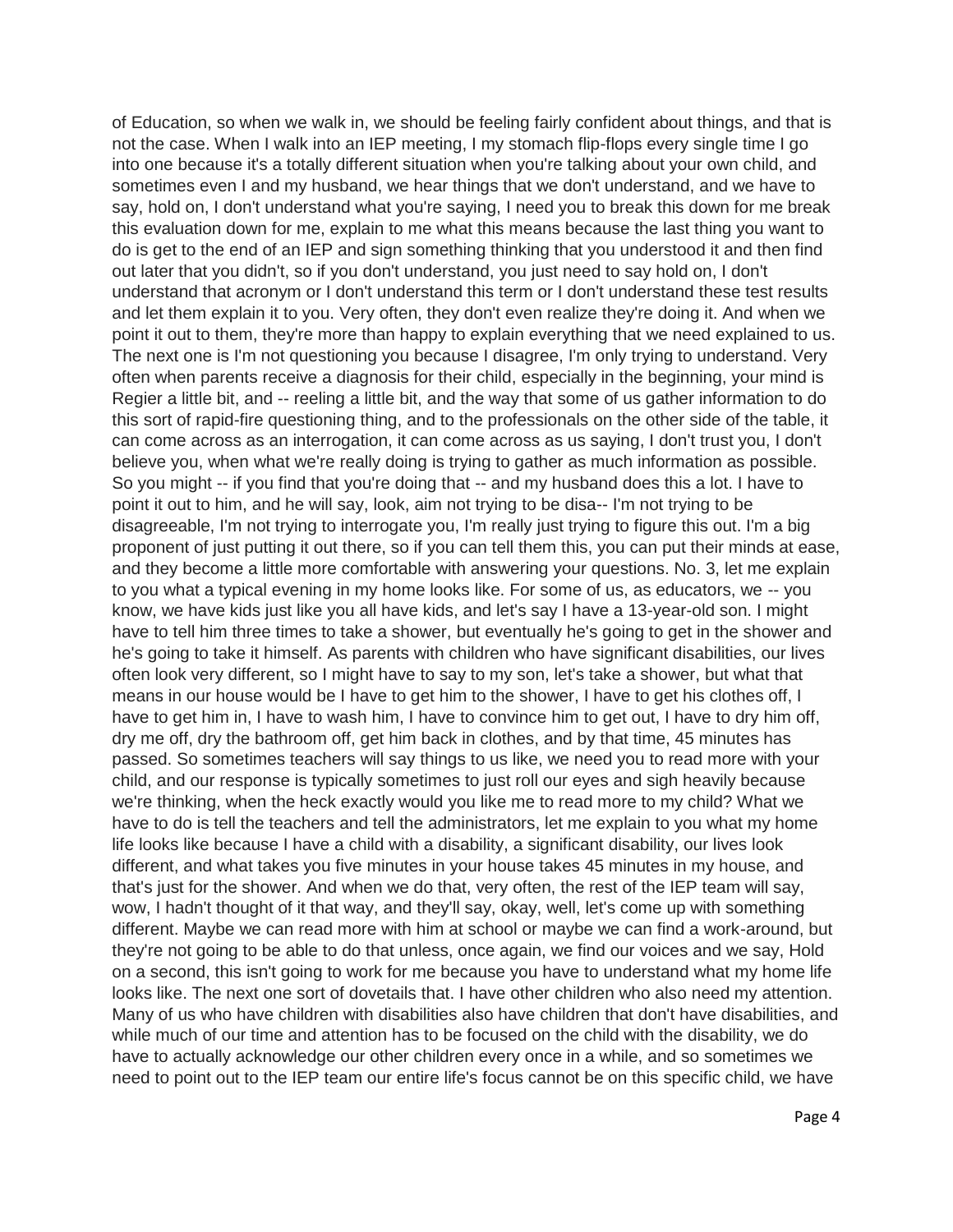of Education, so when we walk in, we should be feeling fairly confident about things, and that is not the case. When I walk into an IEP meeting, I my stomach flip-flops every single time I go into one because it's a totally different situation when you're talking about your own child, and sometimes even I and my husband, we hear things that we don't understand, and we have to say, hold on, I don't understand what you're saying, I need you to break this down for me break this evaluation down for me, explain to me what this means because the last thing you want to do is get to the end of an IEP and sign something thinking that you understood it and then find out later that you didn't, so if you don't understand, you just need to say hold on, I don't understand that acronym or I don't understand this term or I don't understand these test results and let them explain it to you. Very often, they don't even realize they're doing it. And when we point it out to them, they're more than happy to explain everything that we need explained to us. The next one is I'm not questioning you because I disagree, I'm only trying to understand. Very often when parents receive a diagnosis for their child, especially in the beginning, your mind is Regier a little bit, and -- reeling a little bit, and the way that some of us gather information to do this sort of rapid-fire questioning thing, and to the professionals on the other side of the table, it can come across as an interrogation, it can come across as us saying, I don't trust you, I don't believe you, when what we're really doing is trying to gather as much information as possible. So you might -- if you find that you're doing that -- and my husband does this a lot. I have to point it out to him, and he will say, look, aim not trying to be disa-- I'm not trying to be disagreeable, I'm not trying to interrogate you, I'm really just trying to figure this out. I'm a big proponent of just putting it out there, so if you can tell them this, you can put their minds at ease, and they become a little more comfortable with answering your questions. No. 3, let me explain to you what a typical evening in my home looks like. For some of us, as educators, we -- you know, we have kids just like you all have kids, and let's say I have a 13-year-old son. I might have to tell him three times to take a shower, but eventually he's going to get in the shower and he's going to take it himself. As parents with children who have significant disabilities, our lives often look very different, so I might have to say to my son, let's take a shower, but what that means in our house would be I have to get him to the shower, I have to get his clothes off, I have to get him in, I have to wash him, I have to convince him to get out, I have to dry him off, dry me off, dry the bathroom off, get him back in clothes, and by that time, 45 minutes has passed. So sometimes teachers will say things to us like, we need you to read more with your child, and our response is typically sometimes to just roll our eyes and sigh heavily because we're thinking, when the heck exactly would you like me to read more to my child? What we have to do is tell the teachers and tell the administrators, let me explain to you what my home life looks like because I have a child with a disability, a significant disability, our lives look different, and what takes you five minutes in your house takes 45 minutes in my house, and that's just for the shower. And when we do that, very often, the rest of the IEP team will say, wow, I hadn't thought of it that way, and they'll say, okay, well, let's come up with something different. Maybe we can read more with him at school or maybe we can find a work-around, but they're not going to be able to do that unless, once again, we find our voices and we say, Hold on a second, this isn't going to work for me because you have to understand what my home life looks like. The next one sort of dovetails that. I have other children who also need my attention. Many of us who have children with disabilities also have children that don't have disabilities, and while much of our time and attention has to be focused on the child with the disability, we do have to actually acknowledge our other children every once in a while, and so sometimes we need to point out to the IEP team our entire life's focus cannot be on this specific child, we have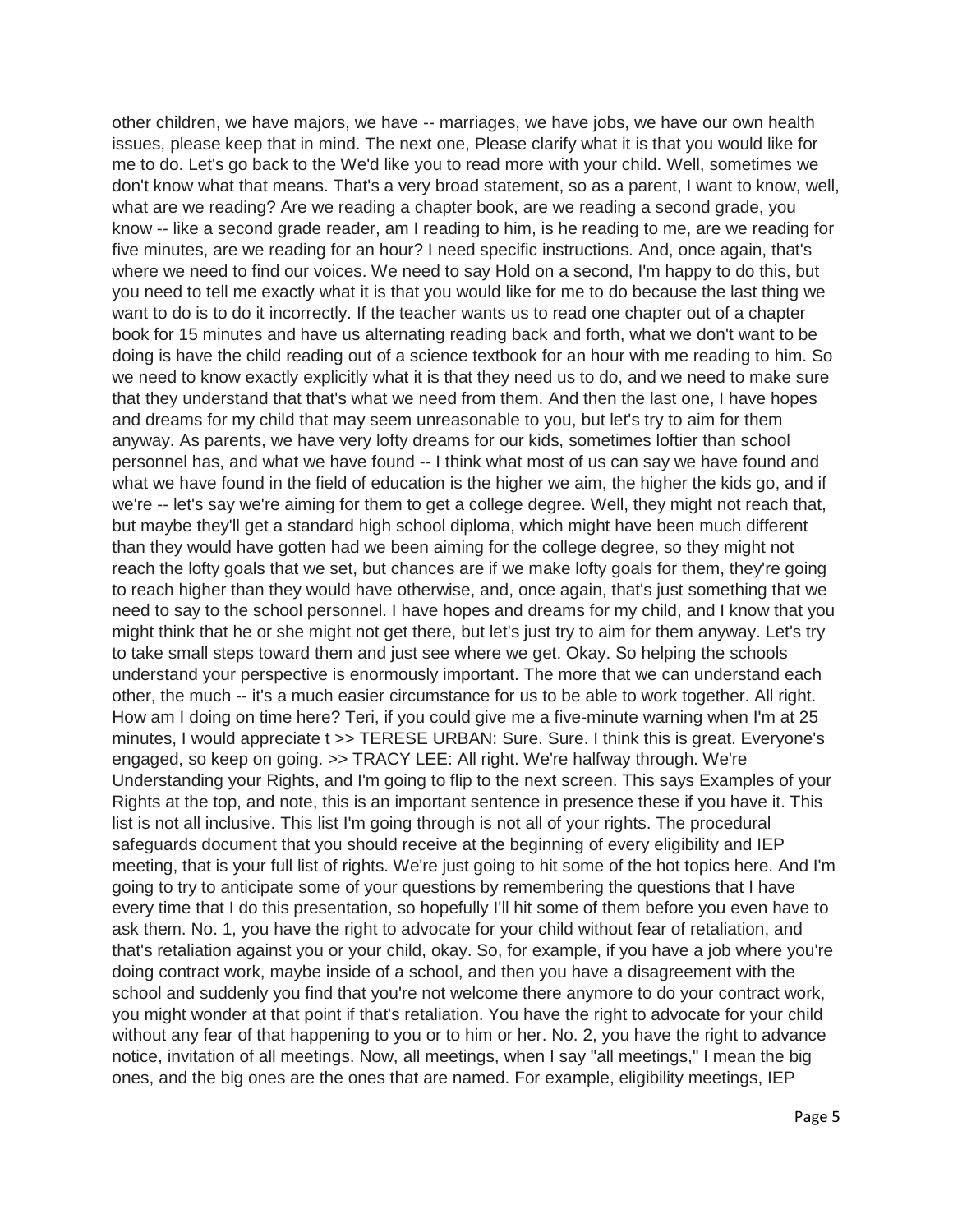other children, we have majors, we have -- marriages, we have jobs, we have our own health issues, please keep that in mind. The next one, Please clarify what it is that you would like for me to do. Let's go back to the We'd like you to read more with your child. Well, sometimes we don't know what that means. That's a very broad statement, so as a parent, I want to know, well, what are we reading? Are we reading a chapter book, are we reading a second grade, you know -- like a second grade reader, am I reading to him, is he reading to me, are we reading for five minutes, are we reading for an hour? I need specific instructions. And, once again, that's where we need to find our voices. We need to say Hold on a second, I'm happy to do this, but you need to tell me exactly what it is that you would like for me to do because the last thing we want to do is to do it incorrectly. If the teacher wants us to read one chapter out of a chapter book for 15 minutes and have us alternating reading back and forth, what we don't want to be doing is have the child reading out of a science textbook for an hour with me reading to him. So we need to know exactly explicitly what it is that they need us to do, and we need to make sure that they understand that that's what we need from them. And then the last one, I have hopes and dreams for my child that may seem unreasonable to you, but let's try to aim for them anyway. As parents, we have very lofty dreams for our kids, sometimes loftier than school personnel has, and what we have found -- I think what most of us can say we have found and what we have found in the field of education is the higher we aim, the higher the kids go, and if we're -- let's say we're aiming for them to get a college degree. Well, they might not reach that, but maybe they'll get a standard high school diploma, which might have been much different than they would have gotten had we been aiming for the college degree, so they might not reach the lofty goals that we set, but chances are if we make lofty goals for them, they're going to reach higher than they would have otherwise, and, once again, that's just something that we need to say to the school personnel. I have hopes and dreams for my child, and I know that you might think that he or she might not get there, but let's just try to aim for them anyway. Let's try to take small steps toward them and just see where we get. Okay. So helping the schools understand your perspective is enormously important. The more that we can understand each other, the much -- it's a much easier circumstance for us to be able to work together. All right. How am I doing on time here? Teri, if you could give me a five-minute warning when I'm at 25 minutes, I would appreciate t >> TERESE URBAN: Sure. Sure. I think this is great. Everyone's engaged, so keep on going. >> TRACY LEE: All right. We're halfway through. We're Understanding your Rights, and I'm going to flip to the next screen. This says Examples of your Rights at the top, and note, this is an important sentence in presence these if you have it. This list is not all inclusive. This list I'm going through is not all of your rights. The procedural safeguards document that you should receive at the beginning of every eligibility and IEP meeting, that is your full list of rights. We're just going to hit some of the hot topics here. And I'm going to try to anticipate some of your questions by remembering the questions that I have every time that I do this presentation, so hopefully I'll hit some of them before you even have to ask them. No. 1, you have the right to advocate for your child without fear of retaliation, and that's retaliation against you or your child, okay. So, for example, if you have a job where you're doing contract work, maybe inside of a school, and then you have a disagreement with the school and suddenly you find that you're not welcome there anymore to do your contract work, you might wonder at that point if that's retaliation. You have the right to advocate for your child without any fear of that happening to you or to him or her. No. 2, you have the right to advance notice, invitation of all meetings. Now, all meetings, when I say "all meetings," I mean the big ones, and the big ones are the ones that are named. For example, eligibility meetings, IEP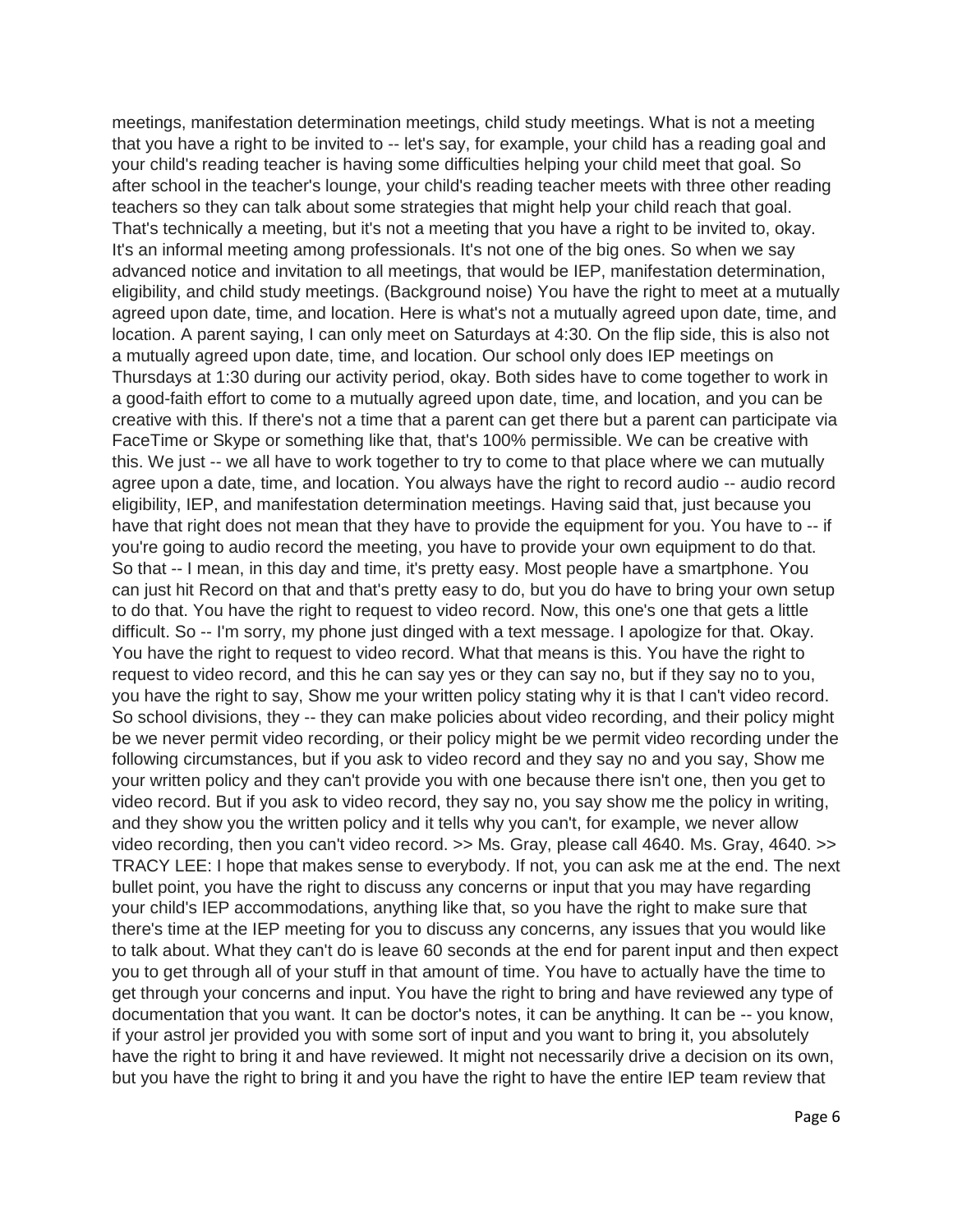meetings, manifestation determination meetings, child study meetings. What is not a meeting that you have a right to be invited to -- let's say, for example, your child has a reading goal and your child's reading teacher is having some difficulties helping your child meet that goal. So after school in the teacher's lounge, your child's reading teacher meets with three other reading teachers so they can talk about some strategies that might help your child reach that goal. That's technically a meeting, but it's not a meeting that you have a right to be invited to, okay. It's an informal meeting among professionals. It's not one of the big ones. So when we say advanced notice and invitation to all meetings, that would be IEP, manifestation determination, eligibility, and child study meetings. (Background noise) You have the right to meet at a mutually agreed upon date, time, and location. Here is what's not a mutually agreed upon date, time, and location. A parent saying, I can only meet on Saturdays at 4:30. On the flip side, this is also not a mutually agreed upon date, time, and location. Our school only does IEP meetings on Thursdays at 1:30 during our activity period, okay. Both sides have to come together to work in a good-faith effort to come to a mutually agreed upon date, time, and location, and you can be creative with this. If there's not a time that a parent can get there but a parent can participate via FaceTime or Skype or something like that, that's 100% permissible. We can be creative with this. We just -- we all have to work together to try to come to that place where we can mutually agree upon a date, time, and location. You always have the right to record audio -- audio record eligibility, IEP, and manifestation determination meetings. Having said that, just because you have that right does not mean that they have to provide the equipment for you. You have to -- if you're going to audio record the meeting, you have to provide your own equipment to do that. So that -- I mean, in this day and time, it's pretty easy. Most people have a smartphone. You can just hit Record on that and that's pretty easy to do, but you do have to bring your own setup to do that. You have the right to request to video record. Now, this one's one that gets a little difficult. So -- I'm sorry, my phone just dinged with a text message. I apologize for that. Okay. You have the right to request to video record. What that means is this. You have the right to request to video record, and this he can say yes or they can say no, but if they say no to you, you have the right to say, Show me your written policy stating why it is that I can't video record. So school divisions, they -- they can make policies about video recording, and their policy might be we never permit video recording, or their policy might be we permit video recording under the following circumstances, but if you ask to video record and they say no and you say, Show me your written policy and they can't provide you with one because there isn't one, then you get to video record. But if you ask to video record, they say no, you say show me the policy in writing, and they show you the written policy and it tells why you can't, for example, we never allow video recording, then you can't video record. >> Ms. Gray, please call 4640. Ms. Gray, 4640. >> TRACY LEE: I hope that makes sense to everybody. If not, you can ask me at the end. The next bullet point, you have the right to discuss any concerns or input that you may have regarding your child's IEP accommodations, anything like that, so you have the right to make sure that there's time at the IEP meeting for you to discuss any concerns, any issues that you would like to talk about. What they can't do is leave 60 seconds at the end for parent input and then expect you to get through all of your stuff in that amount of time. You have to actually have the time to get through your concerns and input. You have the right to bring and have reviewed any type of documentation that you want. It can be doctor's notes, it can be anything. It can be -- you know, if your astrol jer provided you with some sort of input and you want to bring it, you absolutely have the right to bring it and have reviewed. It might not necessarily drive a decision on its own, but you have the right to bring it and you have the right to have the entire IEP team review that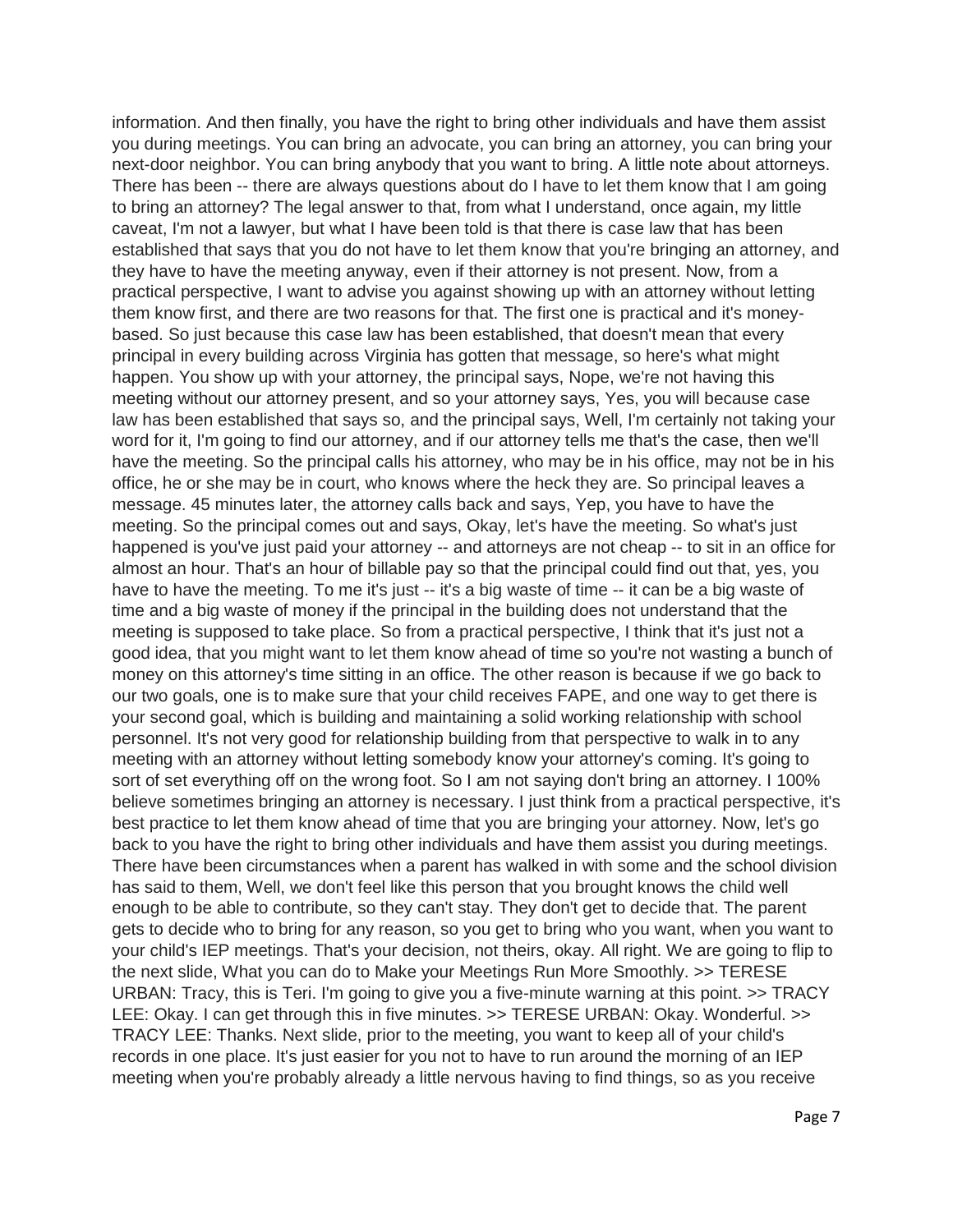information. And then finally, you have the right to bring other individuals and have them assist you during meetings. You can bring an advocate, you can bring an attorney, you can bring your next-door neighbor. You can bring anybody that you want to bring. A little note about attorneys. There has been -- there are always questions about do I have to let them know that I am going to bring an attorney? The legal answer to that, from what I understand, once again, my little caveat, I'm not a lawyer, but what I have been told is that there is case law that has been established that says that you do not have to let them know that you're bringing an attorney, and they have to have the meeting anyway, even if their attorney is not present. Now, from a practical perspective, I want to advise you against showing up with an attorney without letting them know first, and there are two reasons for that. The first one is practical and it's moneybased. So just because this case law has been established, that doesn't mean that every principal in every building across Virginia has gotten that message, so here's what might happen. You show up with your attorney, the principal says, Nope, we're not having this meeting without our attorney present, and so your attorney says, Yes, you will because case law has been established that says so, and the principal says, Well, I'm certainly not taking your word for it, I'm going to find our attorney, and if our attorney tells me that's the case, then we'll have the meeting. So the principal calls his attorney, who may be in his office, may not be in his office, he or she may be in court, who knows where the heck they are. So principal leaves a message. 45 minutes later, the attorney calls back and says, Yep, you have to have the meeting. So the principal comes out and says, Okay, let's have the meeting. So what's just happened is you've just paid your attorney -- and attorneys are not cheap -- to sit in an office for almost an hour. That's an hour of billable pay so that the principal could find out that, yes, you have to have the meeting. To me it's just -- it's a big waste of time -- it can be a big waste of time and a big waste of money if the principal in the building does not understand that the meeting is supposed to take place. So from a practical perspective, I think that it's just not a good idea, that you might want to let them know ahead of time so you're not wasting a bunch of money on this attorney's time sitting in an office. The other reason is because if we go back to our two goals, one is to make sure that your child receives FAPE, and one way to get there is your second goal, which is building and maintaining a solid working relationship with school personnel. It's not very good for relationship building from that perspective to walk in to any meeting with an attorney without letting somebody know your attorney's coming. It's going to sort of set everything off on the wrong foot. So I am not saying don't bring an attorney. I 100% believe sometimes bringing an attorney is necessary. I just think from a practical perspective, it's best practice to let them know ahead of time that you are bringing your attorney. Now, let's go back to you have the right to bring other individuals and have them assist you during meetings. There have been circumstances when a parent has walked in with some and the school division has said to them, Well, we don't feel like this person that you brought knows the child well enough to be able to contribute, so they can't stay. They don't get to decide that. The parent gets to decide who to bring for any reason, so you get to bring who you want, when you want to your child's IEP meetings. That's your decision, not theirs, okay. All right. We are going to flip to the next slide, What you can do to Make your Meetings Run More Smoothly. >> TERESE URBAN: Tracy, this is Teri. I'm going to give you a five-minute warning at this point. >> TRACY LEE: Okay. I can get through this in five minutes. >> TERESE URBAN: Okay. Wonderful. >> TRACY LEE: Thanks. Next slide, prior to the meeting, you want to keep all of your child's records in one place. It's just easier for you not to have to run around the morning of an IEP meeting when you're probably already a little nervous having to find things, so as you receive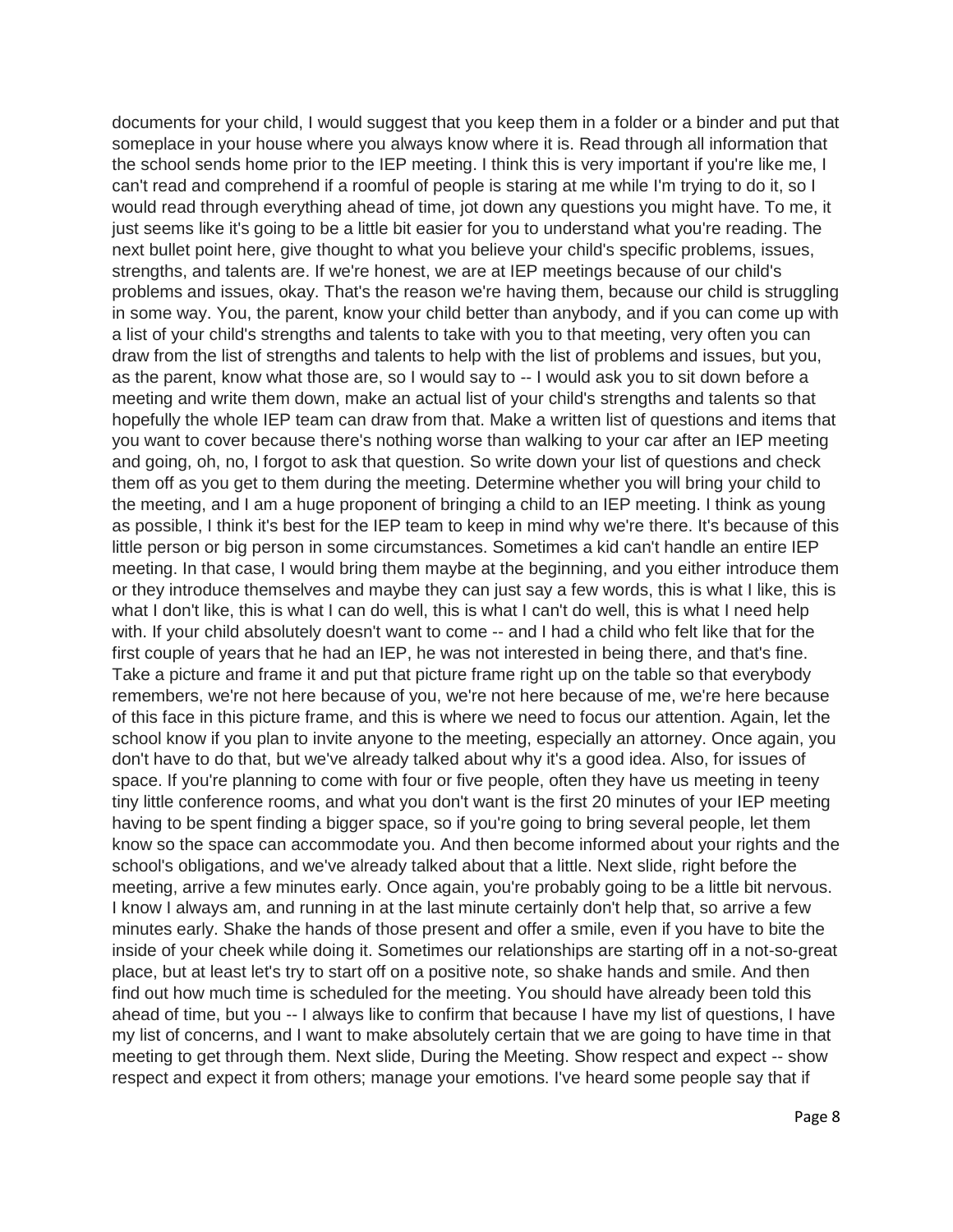documents for your child, I would suggest that you keep them in a folder or a binder and put that someplace in your house where you always know where it is. Read through all information that the school sends home prior to the IEP meeting. I think this is very important if you're like me, I can't read and comprehend if a roomful of people is staring at me while I'm trying to do it, so I would read through everything ahead of time, jot down any questions you might have. To me, it just seems like it's going to be a little bit easier for you to understand what you're reading. The next bullet point here, give thought to what you believe your child's specific problems, issues, strengths, and talents are. If we're honest, we are at IEP meetings because of our child's problems and issues, okay. That's the reason we're having them, because our child is struggling in some way. You, the parent, know your child better than anybody, and if you can come up with a list of your child's strengths and talents to take with you to that meeting, very often you can draw from the list of strengths and talents to help with the list of problems and issues, but you, as the parent, know what those are, so I would say to -- I would ask you to sit down before a meeting and write them down, make an actual list of your child's strengths and talents so that hopefully the whole IEP team can draw from that. Make a written list of questions and items that you want to cover because there's nothing worse than walking to your car after an IEP meeting and going, oh, no, I forgot to ask that question. So write down your list of questions and check them off as you get to them during the meeting. Determine whether you will bring your child to the meeting, and I am a huge proponent of bringing a child to an IEP meeting. I think as young as possible, I think it's best for the IEP team to keep in mind why we're there. It's because of this little person or big person in some circumstances. Sometimes a kid can't handle an entire IEP meeting. In that case, I would bring them maybe at the beginning, and you either introduce them or they introduce themselves and maybe they can just say a few words, this is what I like, this is what I don't like, this is what I can do well, this is what I can't do well, this is what I need help with. If your child absolutely doesn't want to come -- and I had a child who felt like that for the first couple of years that he had an IEP, he was not interested in being there, and that's fine. Take a picture and frame it and put that picture frame right up on the table so that everybody remembers, we're not here because of you, we're not here because of me, we're here because of this face in this picture frame, and this is where we need to focus our attention. Again, let the school know if you plan to invite anyone to the meeting, especially an attorney. Once again, you don't have to do that, but we've already talked about why it's a good idea. Also, for issues of space. If you're planning to come with four or five people, often they have us meeting in teeny tiny little conference rooms, and what you don't want is the first 20 minutes of your IEP meeting having to be spent finding a bigger space, so if you're going to bring several people, let them know so the space can accommodate you. And then become informed about your rights and the school's obligations, and we've already talked about that a little. Next slide, right before the meeting, arrive a few minutes early. Once again, you're probably going to be a little bit nervous. I know I always am, and running in at the last minute certainly don't help that, so arrive a few minutes early. Shake the hands of those present and offer a smile, even if you have to bite the inside of your cheek while doing it. Sometimes our relationships are starting off in a not-so-great place, but at least let's try to start off on a positive note, so shake hands and smile. And then find out how much time is scheduled for the meeting. You should have already been told this ahead of time, but you -- I always like to confirm that because I have my list of questions, I have my list of concerns, and I want to make absolutely certain that we are going to have time in that meeting to get through them. Next slide, During the Meeting. Show respect and expect -- show respect and expect it from others; manage your emotions. I've heard some people say that if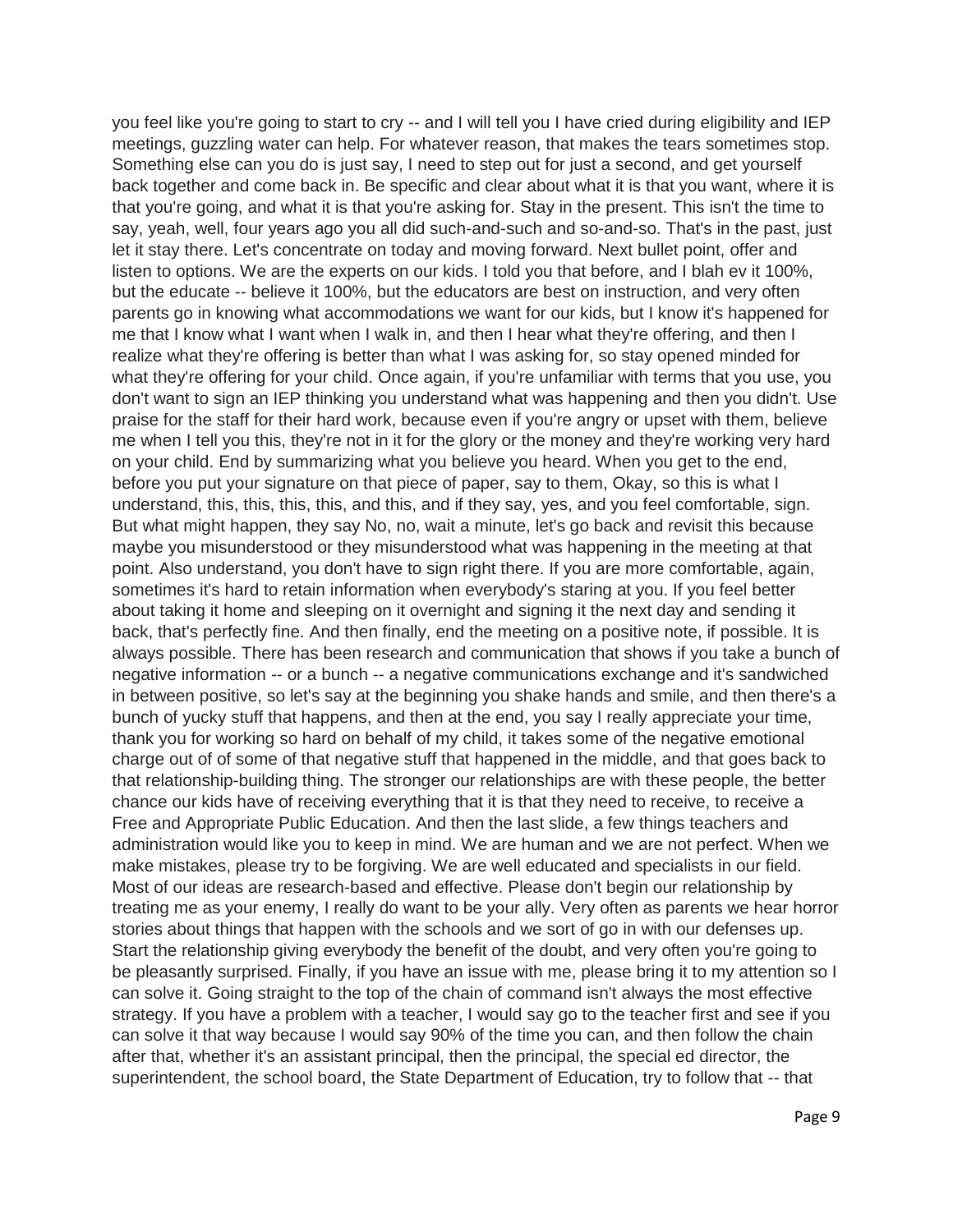you feel like you're going to start to cry -- and I will tell you I have cried during eligibility and IEP meetings, guzzling water can help. For whatever reason, that makes the tears sometimes stop. Something else can you do is just say, I need to step out for just a second, and get yourself back together and come back in. Be specific and clear about what it is that you want, where it is that you're going, and what it is that you're asking for. Stay in the present. This isn't the time to say, yeah, well, four years ago you all did such-and-such and so-and-so. That's in the past, just let it stay there. Let's concentrate on today and moving forward. Next bullet point, offer and listen to options. We are the experts on our kids. I told you that before, and I blah ev it 100%, but the educate -- believe it 100%, but the educators are best on instruction, and very often parents go in knowing what accommodations we want for our kids, but I know it's happened for me that I know what I want when I walk in, and then I hear what they're offering, and then I realize what they're offering is better than what I was asking for, so stay opened minded for what they're offering for your child. Once again, if you're unfamiliar with terms that you use, you don't want to sign an IEP thinking you understand what was happening and then you didn't. Use praise for the staff for their hard work, because even if you're angry or upset with them, believe me when I tell you this, they're not in it for the glory or the money and they're working very hard on your child. End by summarizing what you believe you heard. When you get to the end, before you put your signature on that piece of paper, say to them, Okay, so this is what I understand, this, this, this, this, and this, and if they say, yes, and you feel comfortable, sign. But what might happen, they say No, no, wait a minute, let's go back and revisit this because maybe you misunderstood or they misunderstood what was happening in the meeting at that point. Also understand, you don't have to sign right there. If you are more comfortable, again, sometimes it's hard to retain information when everybody's staring at you. If you feel better about taking it home and sleeping on it overnight and signing it the next day and sending it back, that's perfectly fine. And then finally, end the meeting on a positive note, if possible. It is always possible. There has been research and communication that shows if you take a bunch of negative information -- or a bunch -- a negative communications exchange and it's sandwiched in between positive, so let's say at the beginning you shake hands and smile, and then there's a bunch of yucky stuff that happens, and then at the end, you say I really appreciate your time, thank you for working so hard on behalf of my child, it takes some of the negative emotional charge out of of some of that negative stuff that happened in the middle, and that goes back to that relationship-building thing. The stronger our relationships are with these people, the better chance our kids have of receiving everything that it is that they need to receive, to receive a Free and Appropriate Public Education. And then the last slide, a few things teachers and administration would like you to keep in mind. We are human and we are not perfect. When we make mistakes, please try to be forgiving. We are well educated and specialists in our field. Most of our ideas are research-based and effective. Please don't begin our relationship by treating me as your enemy, I really do want to be your ally. Very often as parents we hear horror stories about things that happen with the schools and we sort of go in with our defenses up. Start the relationship giving everybody the benefit of the doubt, and very often you're going to be pleasantly surprised. Finally, if you have an issue with me, please bring it to my attention so I can solve it. Going straight to the top of the chain of command isn't always the most effective strategy. If you have a problem with a teacher, I would say go to the teacher first and see if you can solve it that way because I would say 90% of the time you can, and then follow the chain after that, whether it's an assistant principal, then the principal, the special ed director, the superintendent, the school board, the State Department of Education, try to follow that -- that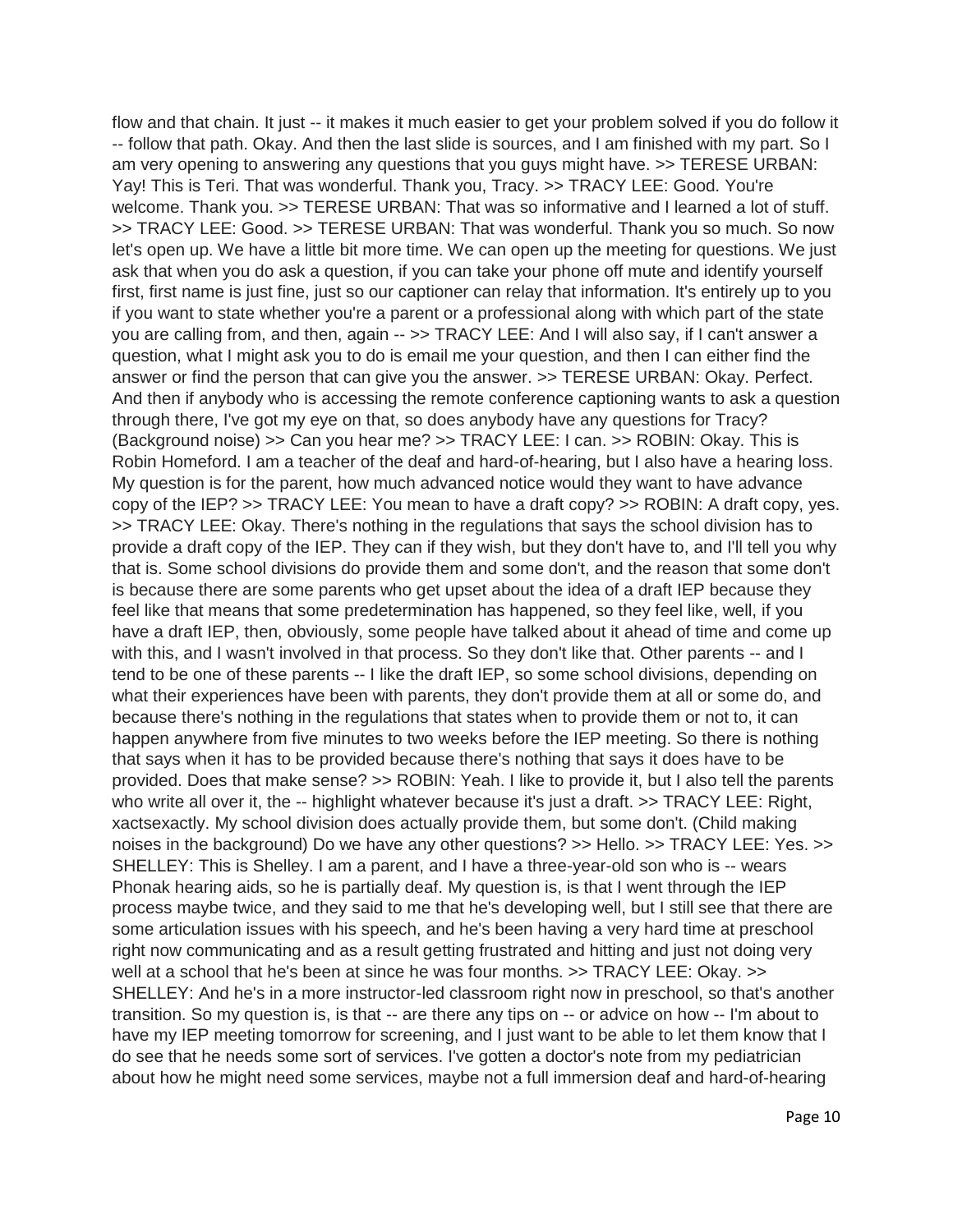flow and that chain. It just -- it makes it much easier to get your problem solved if you do follow it -- follow that path. Okay. And then the last slide is sources, and I am finished with my part. So I am very opening to answering any questions that you guys might have. >> TERESE URBAN: Yay! This is Teri. That was wonderful. Thank you, Tracy. >> TRACY LEE: Good. You're welcome. Thank you. >> TERESE URBAN: That was so informative and I learned a lot of stuff. >> TRACY LEE: Good. >> TERESE URBAN: That was wonderful. Thank you so much. So now let's open up. We have a little bit more time. We can open up the meeting for questions. We just ask that when you do ask a question, if you can take your phone off mute and identify yourself first, first name is just fine, just so our captioner can relay that information. It's entirely up to you if you want to state whether you're a parent or a professional along with which part of the state you are calling from, and then, again -- >> TRACY LEE: And I will also say, if I can't answer a question, what I might ask you to do is email me your question, and then I can either find the answer or find the person that can give you the answer. >> TERESE URBAN: Okay. Perfect. And then if anybody who is accessing the remote conference captioning wants to ask a question through there, I've got my eye on that, so does anybody have any questions for Tracy? (Background noise) >> Can you hear me? >> TRACY LEE: I can. >> ROBIN: Okay. This is Robin Homeford. I am a teacher of the deaf and hard-of-hearing, but I also have a hearing loss. My question is for the parent, how much advanced notice would they want to have advance copy of the IEP? >> TRACY LEE: You mean to have a draft copy? >> ROBIN: A draft copy, yes. >> TRACY LEE: Okay. There's nothing in the regulations that says the school division has to provide a draft copy of the IEP. They can if they wish, but they don't have to, and I'll tell you why that is. Some school divisions do provide them and some don't, and the reason that some don't is because there are some parents who get upset about the idea of a draft IEP because they feel like that means that some predetermination has happened, so they feel like, well, if you have a draft IEP, then, obviously, some people have talked about it ahead of time and come up with this, and I wasn't involved in that process. So they don't like that. Other parents -- and I tend to be one of these parents -- I like the draft IEP, so some school divisions, depending on what their experiences have been with parents, they don't provide them at all or some do, and because there's nothing in the regulations that states when to provide them or not to, it can happen anywhere from five minutes to two weeks before the IEP meeting. So there is nothing that says when it has to be provided because there's nothing that says it does have to be provided. Does that make sense? >> ROBIN: Yeah. I like to provide it, but I also tell the parents who write all over it, the -- highlight whatever because it's just a draft. >> TRACY LEE: Right, xactsexactly. My school division does actually provide them, but some don't. (Child making noises in the background) Do we have any other questions? >> Hello. >> TRACY LEE: Yes. >> SHELLEY: This is Shelley. I am a parent, and I have a three-year-old son who is -- wears Phonak hearing aids, so he is partially deaf. My question is, is that I went through the IEP process maybe twice, and they said to me that he's developing well, but I still see that there are some articulation issues with his speech, and he's been having a very hard time at preschool right now communicating and as a result getting frustrated and hitting and just not doing very well at a school that he's been at since he was four months. >> TRACY LEE: Okay. >> SHELLEY: And he's in a more instructor-led classroom right now in preschool, so that's another transition. So my question is, is that -- are there any tips on -- or advice on how -- I'm about to have my IEP meeting tomorrow for screening, and I just want to be able to let them know that I do see that he needs some sort of services. I've gotten a doctor's note from my pediatrician about how he might need some services, maybe not a full immersion deaf and hard-of-hearing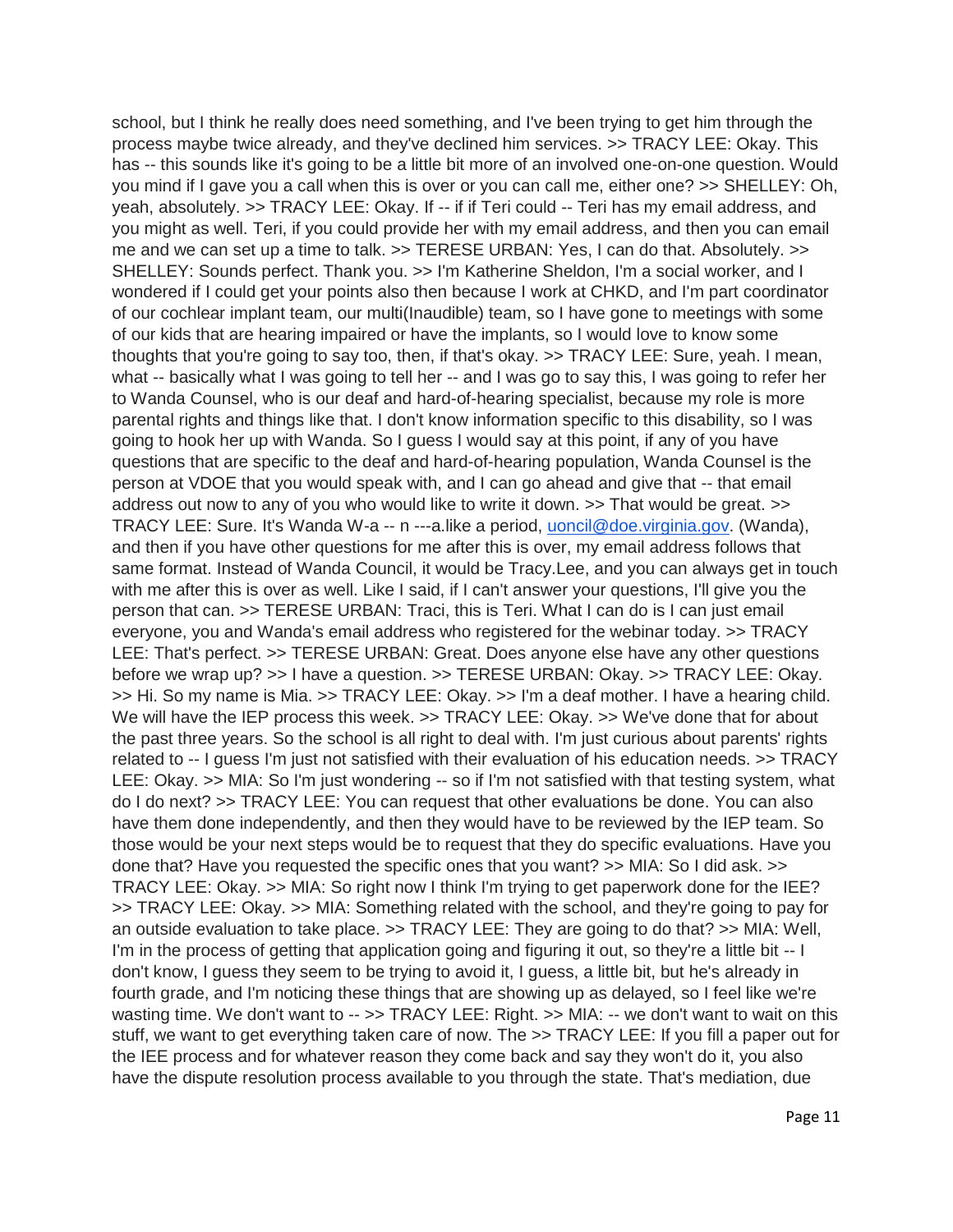school, but I think he really does need something, and I've been trying to get him through the process maybe twice already, and they've declined him services. >> TRACY LEE: Okay. This has -- this sounds like it's going to be a little bit more of an involved one-on-one question. Would you mind if I gave you a call when this is over or you can call me, either one? >> SHELLEY: Oh, yeah, absolutely. >> TRACY LEE: Okay. If -- if if Teri could -- Teri has my email address, and you might as well. Teri, if you could provide her with my email address, and then you can email me and we can set up a time to talk. >> TERESE URBAN: Yes, I can do that. Absolutely. >> SHELLEY: Sounds perfect. Thank you. >> I'm Katherine Sheldon, I'm a social worker, and I wondered if I could get your points also then because I work at CHKD, and I'm part coordinator of our cochlear implant team, our multi(Inaudible) team, so I have gone to meetings with some of our kids that are hearing impaired or have the implants, so I would love to know some thoughts that you're going to say too, then, if that's okay. >> TRACY LEE: Sure, yeah. I mean, what -- basically what I was going to tell her -- and I was go to say this, I was going to refer her to Wanda Counsel, who is our deaf and hard-of-hearing specialist, because my role is more parental rights and things like that. I don't know information specific to this disability, so I was going to hook her up with Wanda. So I guess I would say at this point, if any of you have questions that are specific to the deaf and hard-of-hearing population, Wanda Counsel is the person at VDOE that you would speak with, and I can go ahead and give that -- that email address out now to any of you who would like to write it down. >> That would be great. >> TRACY LEE: Sure. It's Wanda W-a -- n ---a.like a period, [uoncil@doe.virginia.gov.](mailto:uoncil@doe.virginia.gov) (Wanda), and then if you have other questions for me after this is over, my email address follows that same format. Instead of Wanda Council, it would be Tracy.Lee, and you can always get in touch with me after this is over as well. Like I said, if I can't answer your questions, I'll give you the person that can. >> TERESE URBAN: Traci, this is Teri. What I can do is I can just email everyone, you and Wanda's email address who registered for the webinar today. >> TRACY LEE: That's perfect. >> TERESE URBAN: Great. Does anyone else have any other questions before we wrap up? >> I have a question. >> TERESE URBAN: Okay. >> TRACY LEE: Okay. >> Hi. So my name is Mia. >> TRACY LEE: Okay. >> I'm a deaf mother. I have a hearing child. We will have the IEP process this week. >> TRACY LEE: Okay. >> We've done that for about the past three years. So the school is all right to deal with. I'm just curious about parents' rights related to -- I guess I'm just not satisfied with their evaluation of his education needs. >> TRACY LEE: Okay. >> MIA: So I'm just wondering -- so if I'm not satisfied with that testing system, what do I do next? >> TRACY LEE: You can request that other evaluations be done. You can also have them done independently, and then they would have to be reviewed by the IEP team. So those would be your next steps would be to request that they do specific evaluations. Have you done that? Have you requested the specific ones that you want? >> MIA: So I did ask. >> TRACY LEE: Okay. >> MIA: So right now I think I'm trying to get paperwork done for the IEE? >> TRACY LEE: Okay. >> MIA: Something related with the school, and they're going to pay for an outside evaluation to take place. >> TRACY LEE: They are going to do that? >> MIA: Well, I'm in the process of getting that application going and figuring it out, so they're a little bit -- I don't know, I guess they seem to be trying to avoid it, I guess, a little bit, but he's already in fourth grade, and I'm noticing these things that are showing up as delayed, so I feel like we're wasting time. We don't want to -- >> TRACY LEE: Right. >> MIA: -- we don't want to wait on this stuff, we want to get everything taken care of now. The >> TRACY LEE: If you fill a paper out for the IEE process and for whatever reason they come back and say they won't do it, you also have the dispute resolution process available to you through the state. That's mediation, due